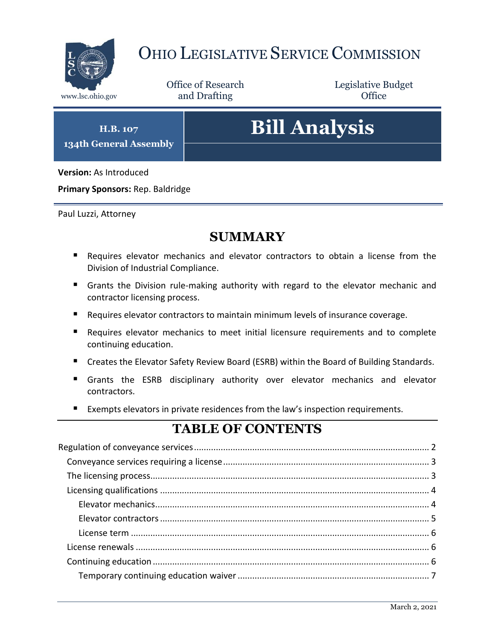

## OHIO LEGISLATIVE SERVICE COMMISSION

Office of Research www.lsc.ohio.gov **and Drafting Office** 

Legislative Budget

**H.B. 107 134th General Assembly**

# **Bill Analysis**

**Version:** As Introduced

**Primary Sponsors:** Rep. Baldridge

Paul Luzzi, Attorney

## **SUMMARY**

- Requires elevator mechanics and elevator contractors to obtain a license from the Division of Industrial Compliance.
- Grants the Division rule-making authority with regard to the elevator mechanic and contractor licensing process.
- Requires elevator contractors to maintain minimum levels of insurance coverage.
- Requires elevator mechanics to meet initial licensure requirements and to complete continuing education.
- Creates the Elevator Safety Review Board (ESRB) within the Board of Building Standards.
- Grants the ESRB disciplinary authority over elevator mechanics and elevator contractors.
- Exempts elevators in private residences from the law's inspection requirements.

## **TABLE OF CONTENTS**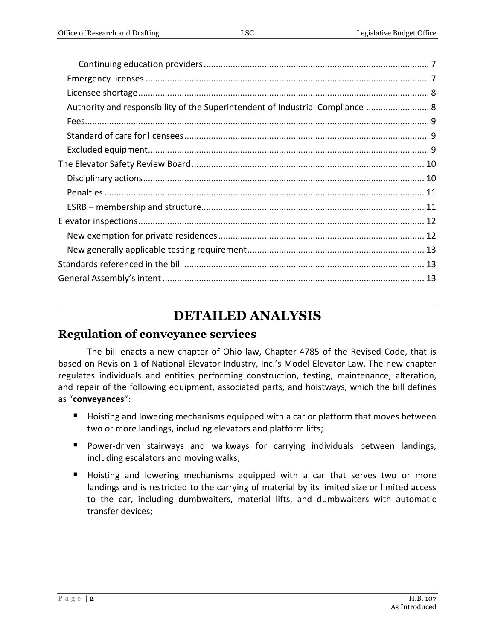| Authority and responsibility of the Superintendent of Industrial Compliance  8 |  |
|--------------------------------------------------------------------------------|--|
|                                                                                |  |
|                                                                                |  |
|                                                                                |  |
|                                                                                |  |
|                                                                                |  |
|                                                                                |  |
|                                                                                |  |
|                                                                                |  |
|                                                                                |  |
|                                                                                |  |
|                                                                                |  |

## **DETAILED ANALYSIS**

General Assembly's intent[............................................................................................................](#page-12-2) 13

### <span id="page-1-0"></span>**Regulation of conveyance services**

The bill enacts a new chapter of Ohio law, Chapter 4785 of the Revised Code, that is based on Revision 1 of National Elevator Industry, Inc.'s Model Elevator Law. The new chapter regulates individuals and entities performing construction, testing, maintenance, alteration, and repair of the following equipment, associated parts, and hoistways, which the bill defines as "**conveyances**":

- Hoisting and lowering mechanisms equipped with a car or platform that moves between two or more landings, including elevators and platform lifts;
- **Power-driven stairways and walkways for carrying individuals between landings,** including escalators and moving walks;
- Hoisting and lowering mechanisms equipped with a car that serves two or more landings and is restricted to the carrying of material by its limited size or limited access to the car, including dumbwaiters, material lifts, and dumbwaiters with automatic transfer devices;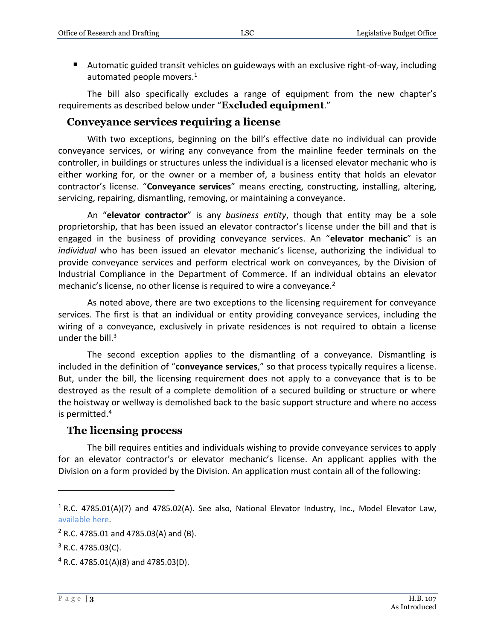Automatic guided transit vehicles on guideways with an exclusive right-of-way, including automated people movers. $1$ 

The bill also specifically excludes a range of equipment from the new chapter's requirements as described below under "**Excluded equipment**."

#### <span id="page-2-0"></span>**Conveyance services requiring a license**

With two exceptions, beginning on the bill's effective date no individual can provide conveyance services, or wiring any conveyance from the mainline feeder terminals on the controller, in buildings or structures unless the individual is a licensed elevator mechanic who is either working for, or the owner or a member of, a business entity that holds an elevator contractor's license. "**Conveyance services**" means erecting, constructing, installing, altering, servicing, repairing, dismantling, removing, or maintaining a conveyance.

An "**elevator contractor**" is any *business entity*, though that entity may be a sole proprietorship, that has been issued an elevator contractor's license under the bill and that is engaged in the business of providing conveyance services. An "**elevator mechanic**" is an *individual* who has been issued an elevator mechanic's license, authorizing the individual to provide conveyance services and perform electrical work on conveyances, by the Division of Industrial Compliance in the Department of Commerce. If an individual obtains an elevator mechanic's license, no other license is required to wire a conveyance.<sup>2</sup>

As noted above, there are two exceptions to the licensing requirement for conveyance services. The first is that an individual or entity providing conveyance services, including the wiring of a conveyance, exclusively in private residences is not required to obtain a license under the bill. $3$ 

The second exception applies to the dismantling of a conveyance. Dismantling is included in the definition of "**conveyance services**," so that process typically requires a license. But, under the bill, the licensing requirement does not apply to a conveyance that is to be destroyed as the result of a complete demolition of a secured building or structure or where the hoistway or wellway is demolished back to the basic support structure and where no access is permitted.<sup>4</sup>

#### <span id="page-2-1"></span>**The licensing process**

The bill requires entities and individuals wishing to provide conveyance services to apply for an elevator contractor's or elevator mechanic's license. An applicant applies with the Division on a form provided by the Division. An application must contain all of the following:

<sup>&</sup>lt;sup>1</sup> R.C. 4785.01(A)(7) and 4785.02(A). See also, National Elevator Industry, Inc., Model Elevator Law, [available here.](http://www.neii.org/pdf/model%20elevator%20law%20revision%203.pdf)

 $2$  R.C. 4785.01 and 4785.03(A) and (B).

 $3$  R.C. 4785.03(C).

 $4$  R.C. 4785.01(A)(8) and 4785.03(D).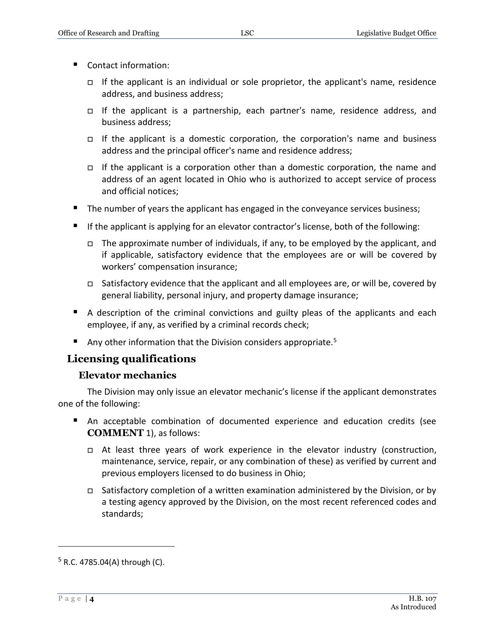- Contact information:
	- If the applicant is an individual or sole proprietor, the applicant's name, residence address, and business address;
	- If the applicant is a partnership, each partner's name, residence address, and business address;
	- If the applicant is a domestic corporation, the corporation's name and business address and the principal officer's name and residence address;
	- If the applicant is a corporation other than a domestic corporation, the name and address of an agent located in Ohio who is authorized to accept service of process and official notices;
- The number of years the applicant has engaged in the conveyance services business;
- **If the applicant is applying for an elevator contractor's license, both of the following:** 
	- $\Box$  The approximate number of individuals, if any, to be employed by the applicant, and if applicable, satisfactory evidence that the employees are or will be covered by workers' compensation insurance;
	- □ Satisfactory evidence that the applicant and all employees are, or will be, covered by general liability, personal injury, and property damage insurance;
- A description of the criminal convictions and guilty pleas of the applicants and each employee, if any, as verified by a criminal records check;
- Any other information that the Division considers appropriate.<sup>5</sup>

#### <span id="page-3-0"></span>**Licensing qualifications**

#### **Elevator mechanics**

<span id="page-3-1"></span>The Division may only issue an elevator mechanic's license if the applicant demonstrates one of the following:

- An acceptable combination of documented experience and education credits (see **COMMENT** 1), as follows:
	- $\Box$  At least three years of work experience in the elevator industry (construction, maintenance, service, repair, or any combination of these) as verified by current and previous employers licensed to do business in Ohio;
	- Satisfactory completion of a written examination administered by the Division, or by a testing agency approved by the Division, on the most recent referenced codes and standards;

 $5$  R.C. 4785.04(A) through (C).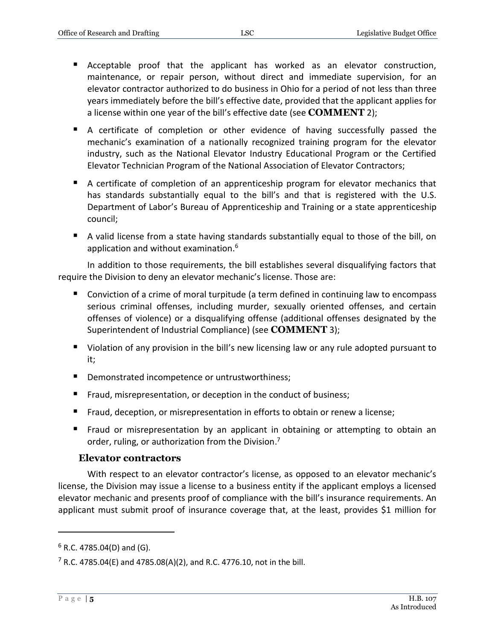- Acceptable proof that the applicant has worked as an elevator construction, maintenance, or repair person, without direct and immediate supervision, for an elevator contractor authorized to do business in Ohio for a period of not less than three years immediately before the bill's effective date, provided that the applicant applies for a license within one year of the bill's effective date (see **COMMENT** 2);
- A certificate of completion or other evidence of having successfully passed the mechanic's examination of a nationally recognized training program for the elevator industry, such as the National Elevator Industry Educational Program or the Certified Elevator Technician Program of the National Association of Elevator Contractors;
- A certificate of completion of an apprenticeship program for elevator mechanics that has standards substantially equal to the bill's and that is registered with the U.S. Department of Labor's Bureau of Apprenticeship and Training or a state apprenticeship council;
- A valid license from a state having standards substantially equal to those of the bill, on application and without examination.<sup>6</sup>

In addition to those requirements, the bill establishes several disqualifying factors that require the Division to deny an elevator mechanic's license. Those are:

- Conviction of a crime of moral turpitude (a term defined in continuing law to encompass serious criminal offenses, including murder, sexually oriented offenses, and certain offenses of violence) or a disqualifying offense (additional offenses designated by the Superintendent of Industrial Compliance) (see **COMMENT** 3);
- Violation of any provision in the bill's new licensing law or any rule adopted pursuant to it;
- **Demonstrated incompetence or untrustworthiness;**
- **Fraud, misrepresentation, or deception in the conduct of business;**
- **Fraud, deception, or misrepresentation in efforts to obtain or renew a license;**
- **Fraud or misrepresentation by an applicant in obtaining or attempting to obtain an** order, ruling, or authorization from the Division.<sup>7</sup>

#### **Elevator contractors**

<span id="page-4-0"></span>With respect to an elevator contractor's license, as opposed to an elevator mechanic's license, the Division may issue a license to a business entity if the applicant employs a licensed elevator mechanic and presents proof of compliance with the bill's insurance requirements. An applicant must submit proof of insurance coverage that, at the least, provides \$1 million for

 $6$  R.C. 4785.04(D) and (G).

 $7$  R.C. 4785.04(E) and 4785.08(A)(2), and R.C. 4776.10, not in the bill.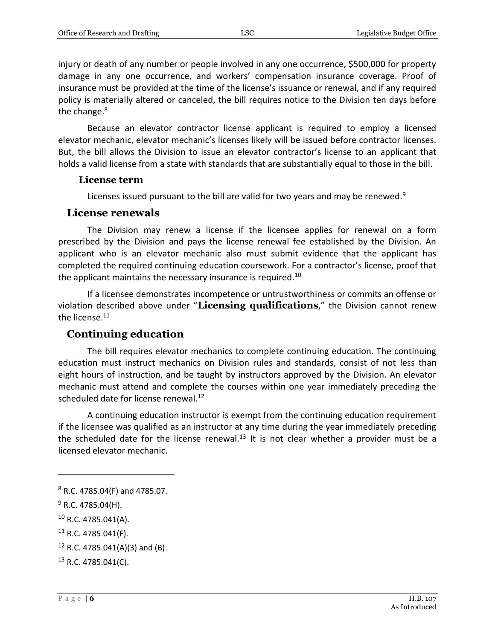injury or death of any number or people involved in any one occurrence, \$500,000 for property damage in any one occurrence, and workers' compensation insurance coverage. Proof of insurance must be provided at the time of the license's issuance or renewal, and if any required policy is materially altered or canceled, the bill requires notice to the Division ten days before the change.<sup>8</sup>

Because an elevator contractor license applicant is required to employ a licensed elevator mechanic, elevator mechanic's licenses likely will be issued before contractor licenses. But, the bill allows the Division to issue an elevator contractor's license to an applicant that holds a valid license from a state with standards that are substantially equal to those in the bill.

#### <span id="page-5-0"></span>**License term**

Licenses issued pursuant to the bill are valid for two years and may be renewed.<sup>9</sup>

#### <span id="page-5-1"></span>**License renewals**

The Division may renew a license if the licensee applies for renewal on a form prescribed by the Division and pays the license renewal fee established by the Division. An applicant who is an elevator mechanic also must submit evidence that the applicant has completed the required continuing education coursework. For a contractor's license, proof that the applicant maintains the necessary insurance is required.<sup>10</sup>

If a licensee demonstrates incompetence or untrustworthiness or commits an offense or violation described above under "**Licensing qualifications**," the Division cannot renew the license.<sup>11</sup>

#### <span id="page-5-2"></span>**Continuing education**

The bill requires elevator mechanics to complete continuing education. The continuing education must instruct mechanics on Division rules and standards, consist of not less than eight hours of instruction, and be taught by instructors approved by the Division. An elevator mechanic must attend and complete the courses within one year immediately preceding the scheduled date for license renewal.<sup>12</sup>

A continuing education instructor is exempt from the continuing education requirement if the licensee was qualified as an instructor at any time during the year immediately preceding the scheduled date for the license renewal.<sup>13</sup> It is not clear whether a provider must be a licensed elevator mechanic.

<sup>8</sup> R.C. 4785.04(F) and 4785.07.

 $9$  R.C. 4785.04(H).

<sup>10</sup> R.C. 4785.041(A).

 $11$  R.C. 4785.041(F).

 $12$  R.C. 4785.041(A)(3) and (B).

<sup>13</sup> R.C. 4785.041(C).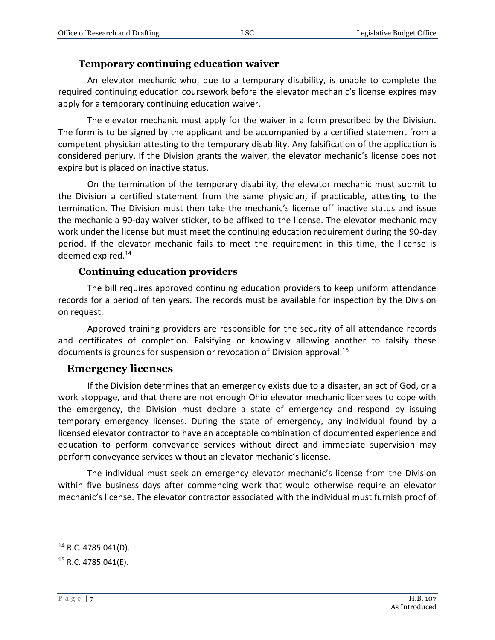#### **Temporary continuing education waiver**

<span id="page-6-0"></span>An elevator mechanic who, due to a temporary disability, is unable to complete the required continuing education coursework before the elevator mechanic's license expires may apply for a temporary continuing education waiver.

The elevator mechanic must apply for the waiver in a form prescribed by the Division. The form is to be signed by the applicant and be accompanied by a certified statement from a competent physician attesting to the temporary disability. Any falsification of the application is considered perjury. If the Division grants the waiver, the elevator mechanic's license does not expire but is placed on inactive status.

On the termination of the temporary disability, the elevator mechanic must submit to the Division a certified statement from the same physician, if practicable, attesting to the termination. The Division must then take the mechanic's license off inactive status and issue the mechanic a 90-day waiver sticker, to be affixed to the license. The elevator mechanic may work under the license but must meet the continuing education requirement during the 90-day period. If the elevator mechanic fails to meet the requirement in this time, the license is deemed expired.<sup>14</sup>

#### **Continuing education providers**

<span id="page-6-1"></span>The bill requires approved continuing education providers to keep uniform attendance records for a period of ten years. The records must be available for inspection by the Division on request.

Approved training providers are responsible for the security of all attendance records and certificates of completion. Falsifying or knowingly allowing another to falsify these documents is grounds for suspension or revocation of Division approval.<sup>15</sup>

#### <span id="page-6-2"></span>**Emergency licenses**

If the Division determines that an emergency exists due to a disaster, an act of God, or a work stoppage, and that there are not enough Ohio elevator mechanic licensees to cope with the emergency, the Division must declare a state of emergency and respond by issuing temporary emergency licenses. During the state of emergency, any individual found by a licensed elevator contractor to have an acceptable combination of documented experience and education to perform conveyance services without direct and immediate supervision may perform conveyance services without an elevator mechanic's license.

The individual must seek an emergency elevator mechanic's license from the Division within five business days after commencing work that would otherwise require an elevator mechanic's license. The elevator contractor associated with the individual must furnish proof of

 $14$  R.C. 4785.041(D).

 $15$  R.C. 4785.041(E).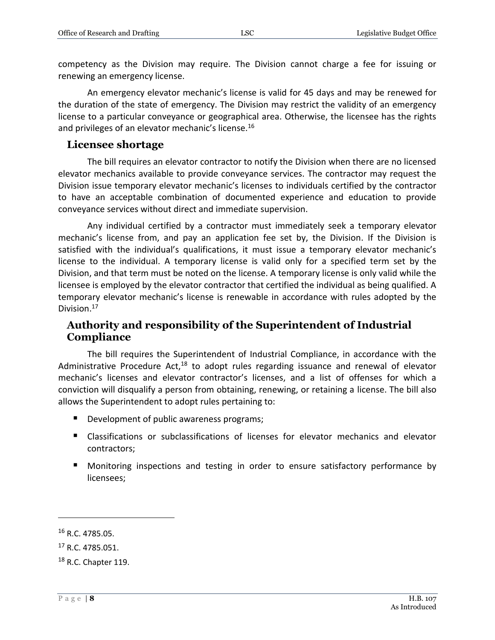competency as the Division may require. The Division cannot charge a fee for issuing or renewing an emergency license.

An emergency elevator mechanic's license is valid for 45 days and may be renewed for the duration of the state of emergency. The Division may restrict the validity of an emergency license to a particular conveyance or geographical area. Otherwise, the licensee has the rights and privileges of an elevator mechanic's license.<sup>16</sup>

#### <span id="page-7-0"></span>**Licensee shortage**

The bill requires an elevator contractor to notify the Division when there are no licensed elevator mechanics available to provide conveyance services. The contractor may request the Division issue temporary elevator mechanic's licenses to individuals certified by the contractor to have an acceptable combination of documented experience and education to provide conveyance services without direct and immediate supervision.

Any individual certified by a contractor must immediately seek a temporary elevator mechanic's license from, and pay an application fee set by, the Division. If the Division is satisfied with the individual's qualifications, it must issue a temporary elevator mechanic's license to the individual. A temporary license is valid only for a specified term set by the Division, and that term must be noted on the license. A temporary license is only valid while the licensee is employed by the elevator contractor that certified the individual as being qualified. A temporary elevator mechanic's license is renewable in accordance with rules adopted by the Division.<sup>17</sup>

#### <span id="page-7-1"></span>**Authority and responsibility of the Superintendent of Industrial Compliance**

The bill requires the Superintendent of Industrial Compliance, in accordance with the Administrative Procedure Act, $18$  to adopt rules regarding issuance and renewal of elevator mechanic's licenses and elevator contractor's licenses, and a list of offenses for which a conviction will disqualify a person from obtaining, renewing, or retaining a license. The bill also allows the Superintendent to adopt rules pertaining to:

- Development of public awareness programs;
- Classifications or subclassifications of licenses for elevator mechanics and elevator contractors;
- **Monitoring inspections and testing in order to ensure satisfactory performance by** licensees;

<sup>16</sup> R.C. 4785.05.

<sup>&</sup>lt;sup>17</sup> R.C. 4785.051.

<sup>18</sup> R.C. Chapter 119.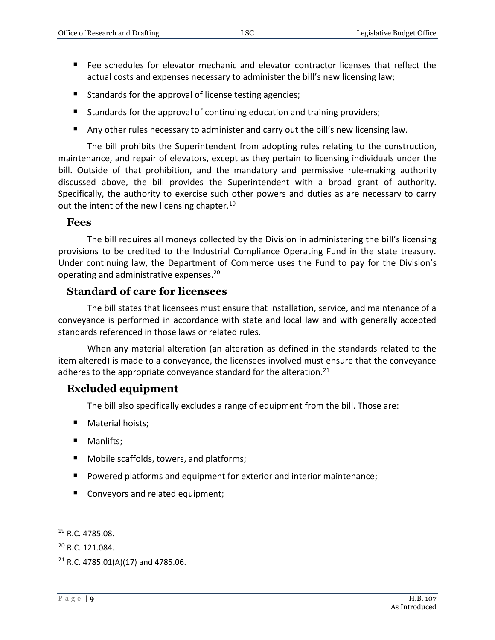- Fee schedules for elevator mechanic and elevator contractor licenses that reflect the actual costs and expenses necessary to administer the bill's new licensing law;
- Standards for the approval of license testing agencies;
- Standards for the approval of continuing education and training providers;
- Any other rules necessary to administer and carry out the bill's new licensing law.

The bill prohibits the Superintendent from adopting rules relating to the construction, maintenance, and repair of elevators, except as they pertain to licensing individuals under the bill. Outside of that prohibition, and the mandatory and permissive rule-making authority discussed above, the bill provides the Superintendent with a broad grant of authority. Specifically, the authority to exercise such other powers and duties as are necessary to carry out the intent of the new licensing chapter.<sup>19</sup>

#### <span id="page-8-0"></span>**Fees**

The bill requires all moneys collected by the Division in administering the bill's licensing provisions to be credited to the Industrial Compliance Operating Fund in the state treasury. Under continuing law, the Department of Commerce uses the Fund to pay for the Division's operating and administrative expenses.<sup>20</sup>

#### <span id="page-8-1"></span>**Standard of care for licensees**

The bill states that licensees must ensure that installation, service, and maintenance of a conveyance is performed in accordance with state and local law and with generally accepted standards referenced in those laws or related rules.

When any material alteration (an alteration as defined in the standards related to the item altered) is made to a conveyance, the licensees involved must ensure that the conveyance adheres to the appropriate conveyance standard for the alteration. $^{21}$ 

#### <span id="page-8-2"></span>**Excluded equipment**

The bill also specifically excludes a range of equipment from the bill. Those are:

- **Material hoists;**
- **Manlifts:**
- Mobile scaffolds, towers, and platforms;
- **Powered platforms and equipment for exterior and interior maintenance;**
- Conveyors and related equipment;

<sup>19</sup> R.C. 4785.08.

<sup>20</sup> R.C. 121.084.

<sup>&</sup>lt;sup>21</sup> R.C. 4785.01(A)(17) and 4785.06.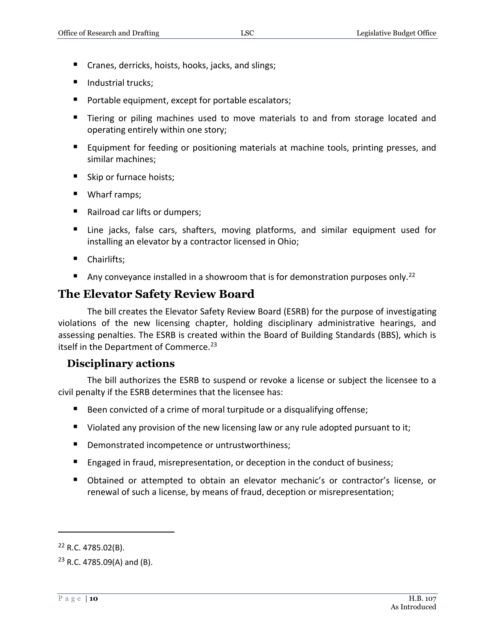- Cranes, derricks, hoists, hooks, jacks, and slings;
- $\blacksquare$  Industrial trucks:
- **Portable equipment, except for portable escalators;**
- Tiering or piling machines used to move materials to and from storage located and operating entirely within one story;
- **Equipment for feeding or positioning materials at machine tools, printing presses, and** similar machines;
- Skip or furnace hoists;
- Wharf ramps;
- Railroad car lifts or dumpers;
- Line jacks, false cars, shafters, moving platforms, and similar equipment used for installing an elevator by a contractor licensed in Ohio;
- Chairlifts;
- Any conveyance installed in a showroom that is for demonstration purposes only.<sup>22</sup>

## <span id="page-9-0"></span>**The Elevator Safety Review Board**

The bill creates the Elevator Safety Review Board (ESRB) for the purpose of investigating violations of the new licensing chapter, holding disciplinary administrative hearings, and assessing penalties. The ESRB is created within the Board of Building Standards (BBS), which is itself in the Department of Commerce.<sup>23</sup>

#### <span id="page-9-1"></span>**Disciplinary actions**

The bill authorizes the ESRB to suspend or revoke a license or subject the licensee to a civil penalty if the ESRB determines that the licensee has:

- Been convicted of a crime of moral turpitude or a disqualifying offense;
- Violated any provision of the new licensing law or any rule adopted pursuant to it;
- **•** Demonstrated incompetence or untrustworthiness;
- **Engaged in fraud, misrepresentation, or deception in the conduct of business;**
- Obtained or attempted to obtain an elevator mechanic's or contractor's license, or renewal of such a license, by means of fraud, deception or misrepresentation;

 $22$  R.C. 4785.02(B).

 $23$  R.C. 4785.09(A) and (B).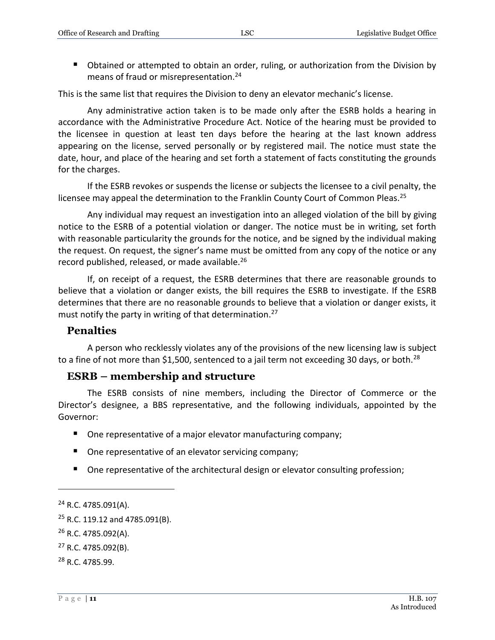Obtained or attempted to obtain an order, ruling, or authorization from the Division by means of fraud or misrepresentation.<sup>24</sup>

This is the same list that requires the Division to deny an elevator mechanic's license.

Any administrative action taken is to be made only after the ESRB holds a hearing in accordance with the Administrative Procedure Act. Notice of the hearing must be provided to the licensee in question at least ten days before the hearing at the last known address appearing on the license, served personally or by registered mail. The notice must state the date, hour, and place of the hearing and set forth a statement of facts constituting the grounds for the charges.

If the ESRB revokes or suspends the license or subjects the licensee to a civil penalty, the licensee may appeal the determination to the Franklin County Court of Common Pleas.<sup>25</sup>

Any individual may request an investigation into an alleged violation of the bill by giving notice to the ESRB of a potential violation or danger. The notice must be in writing, set forth with reasonable particularity the grounds for the notice, and be signed by the individual making the request. On request, the signer's name must be omitted from any copy of the notice or any record published, released, or made available.<sup>26</sup>

If, on receipt of a request, the ESRB determines that there are reasonable grounds to believe that a violation or danger exists, the bill requires the ESRB to investigate. If the ESRB determines that there are no reasonable grounds to believe that a violation or danger exists, it must notify the party in writing of that determination.<sup>27</sup>

#### <span id="page-10-0"></span>**Penalties**

A person who recklessly violates any of the provisions of the new licensing law is subject to a fine of not more than \$1,500, sentenced to a jail term not exceeding 30 days, or both.<sup>28</sup>

#### <span id="page-10-1"></span>**ESRB – membership and structure**

The ESRB consists of nine members, including the Director of Commerce or the Director's designee, a BBS representative, and the following individuals, appointed by the Governor:

- One representative of a major elevator manufacturing company;
- One representative of an elevator servicing company;
- One representative of the architectural design or elevator consulting profession;

<sup>24</sup> R.C. 4785.091(A).

 $25$  R.C. 119.12 and 4785.091(B).

<sup>26</sup> R.C. 4785.092(A).

<sup>27</sup> R.C. 4785.092(B).

<sup>28</sup> R.C. 4785.99.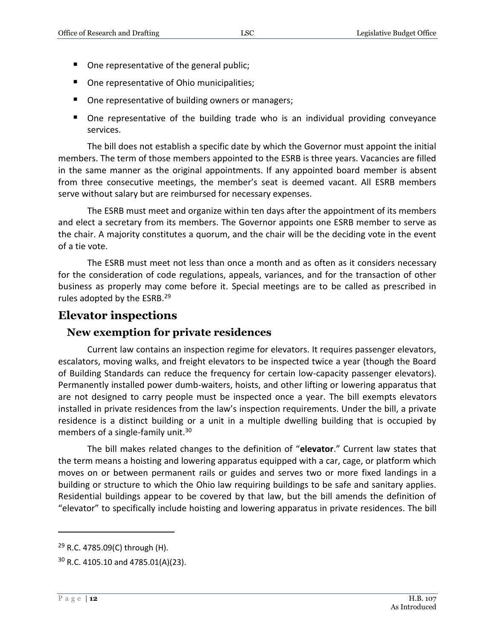- One representative of the general public;
- One representative of Ohio municipalities;
- One representative of building owners or managers;
- One representative of the building trade who is an individual providing conveyance services.

The bill does not establish a specific date by which the Governor must appoint the initial members. The term of those members appointed to the ESRB is three years. Vacancies are filled in the same manner as the original appointments. If any appointed board member is absent from three consecutive meetings, the member's seat is deemed vacant. All ESRB members serve without salary but are reimbursed for necessary expenses.

The ESRB must meet and organize within ten days after the appointment of its members and elect a secretary from its members. The Governor appoints one ESRB member to serve as the chair. A majority constitutes a quorum, and the chair will be the deciding vote in the event of a tie vote.

The ESRB must meet not less than once a month and as often as it considers necessary for the consideration of code regulations, appeals, variances, and for the transaction of other business as properly may come before it. Special meetings are to be called as prescribed in rules adopted by the ESRB.<sup>29</sup>

#### <span id="page-11-0"></span>**Elevator inspections**

#### <span id="page-11-1"></span>**New exemption for private residences**

Current law contains an inspection regime for elevators. It requires passenger elevators, escalators, moving walks, and freight elevators to be inspected twice a year (though the Board of Building Standards can reduce the frequency for certain low-capacity passenger elevators). Permanently installed power dumb-waiters, hoists, and other lifting or lowering apparatus that are not designed to carry people must be inspected once a year. The bill exempts elevators installed in private residences from the law's inspection requirements. Under the bill, a private residence is a distinct building or a unit in a multiple dwelling building that is occupied by members of a single-family unit.<sup>30</sup>

The bill makes related changes to the definition of "**elevator**." Current law states that the term means a hoisting and lowering apparatus equipped with a car, cage, or platform which moves on or between permanent rails or guides and serves two or more fixed landings in a building or structure to which the Ohio law requiring buildings to be safe and sanitary applies. Residential buildings appear to be covered by that law, but the bill amends the definition of "elevator" to specifically include hoisting and lowering apparatus in private residences. The bill

 $29$  R.C. 4785.09(C) through (H).

 $30$  R.C. 4105.10 and 4785.01(A)(23).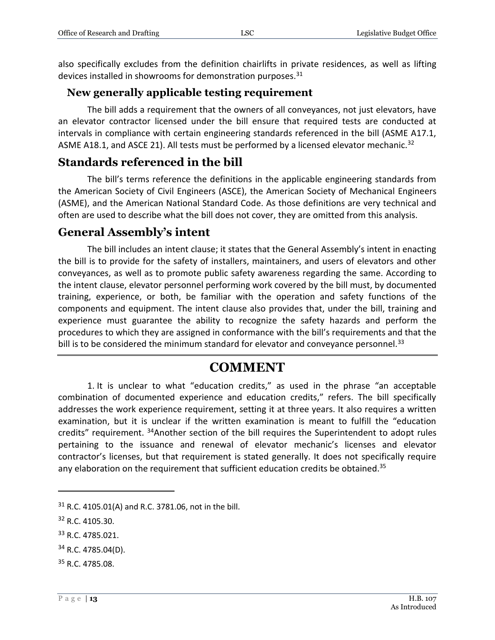also specifically excludes from the definition chairlifts in private residences, as well as lifting devices installed in showrooms for demonstration purposes.<sup>31</sup>

#### <span id="page-12-0"></span>**New generally applicable testing requirement**

The bill adds a requirement that the owners of all conveyances, not just elevators, have an elevator contractor licensed under the bill ensure that required tests are conducted at intervals in compliance with certain engineering standards referenced in the bill (ASME A17.1, ASME A18.1, and ASCE 21). All tests must be performed by a licensed elevator mechanic.<sup>32</sup>

#### <span id="page-12-1"></span>**Standards referenced in the bill**

The bill's terms reference the definitions in the applicable engineering standards from the American Society of Civil Engineers (ASCE), the American Society of Mechanical Engineers (ASME), and the American National Standard Code. As those definitions are very technical and often are used to describe what the bill does not cover, they are omitted from this analysis.

#### <span id="page-12-2"></span>**General Assembly's intent**

The bill includes an intent clause; it states that the General Assembly's intent in enacting the bill is to provide for the safety of installers, maintainers, and users of elevators and other conveyances, as well as to promote public safety awareness regarding the same. According to the intent clause, elevator personnel performing work covered by the bill must, by documented training, experience, or both, be familiar with the operation and safety functions of the components and equipment. The intent clause also provides that, under the bill, training and experience must guarantee the ability to recognize the safety hazards and perform the procedures to which they are assigned in conformance with the bill's requirements and that the bill is to be considered the minimum standard for elevator and conveyance personnel. $33$ 

## **COMMENT**

1. It is unclear to what "education credits," as used in the phrase "an acceptable combination of documented experience and education credits," refers. The bill specifically addresses the work experience requirement, setting it at three years. It also requires a written examination, but it is unclear if the written examination is meant to fulfill the "education credits" requirement. <sup>34</sup>Another section of the bill requires the Superintendent to adopt rules pertaining to the issuance and renewal of elevator mechanic's licenses and elevator contractor's licenses, but that requirement is stated generally. It does not specifically require any elaboration on the requirement that sufficient education credits be obtained.<sup>35</sup>

<sup>31</sup> R.C. 4105.01(A) and R.C. 3781.06, not in the bill.

<sup>32</sup> R.C. 4105.30.

<sup>33</sup> R.C. 4785.021.

 $34$  R.C. 4785.04(D).

<sup>35</sup> R.C. 4785.08.